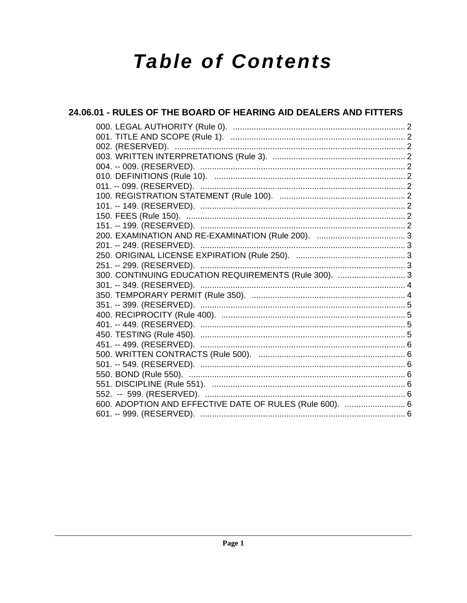# **Table of Contents**

# 24.06.01 - RULES OF THE BOARD OF HEARING AID DEALERS AND FITTERS 300. CONTINUING EDUCATION REQUIREMENTS (Rule 300). ............................3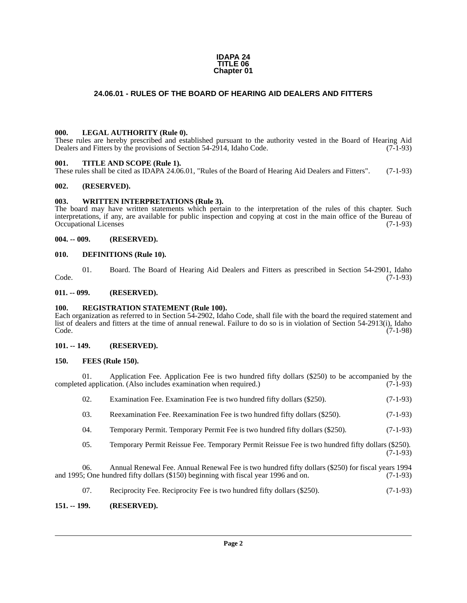#### **IDAPA 24 TITLE 06 Chapter 01**

# <span id="page-1-0"></span>**24.06.01 - RULES OF THE BOARD OF HEARING AID DEALERS AND FITTERS**

# <span id="page-1-1"></span>**000. LEGAL AUTHORITY (Rule 0).**

These rules are hereby prescribed and established pursuant to the authority vested in the Board of Hearing Aid Dealers and Fitters by the provisions of Section 54-2914, Idaho Code. (7-1-93)

# <span id="page-1-2"></span>**001. TITLE AND SCOPE (Rule 1).**

These rules shall be cited as IDAPA 24.06.01, "Rules of the Board of Hearing Aid Dealers and Fitters". (7-1-93)

# <span id="page-1-3"></span>**002. (RESERVED).**

# <span id="page-1-4"></span>**003. WRITTEN INTERPRETATIONS (Rule 3).**

The board may have written statements which pertain to the interpretation of the rules of this chapter. Such interpretations, if any, are available for public inspection and copying at cost in the main office of the Bureau of Occupational Licenses (7-1-93)

# <span id="page-1-5"></span>**004. -- 009. (RESERVED).**

#### <span id="page-1-6"></span>**010. DEFINITIONS (Rule 10).**

01. Board. The Board of Hearing Aid Dealers and Fitters as prescribed in Section 54-2901, Idaho (7-1-93)  $\text{Code.}$  (7-1-93)

# <span id="page-1-7"></span>**011. -- 099. (RESERVED).**

# <span id="page-1-8"></span>**100. REGISTRATION STATEMENT (Rule 100).**

Each organization as referred to in Section 54-2902, Idaho Code, shall file with the board the required statement and list of dealers and fitters at the time of annual renewal. Failure to do so is in violation of Section 54-2913(i), Idaho Code. (7-1-98)

# <span id="page-1-9"></span>**101. -- 149. (RESERVED).**

#### <span id="page-1-10"></span>**150. FEES (Rule 150).**

01. Application Fee. Application Fee is two hundred fifty dollars (\$250) to be accompanied by the ed application. (Also includes examination when required.)  $(7-1-93)$ completed application. (Also includes examination when required.)

| 02. | Examination Fee. Examination Fee is two hundred fifty dollars (\$250).       | $(7-1-93)$ |
|-----|------------------------------------------------------------------------------|------------|
| 03. | Reexamination Fee. Reexamination Fee is two hundred fifty dollars (\$250).   | $(7-1-93)$ |
| 04. | Temporary Permit. Temporary Permit Fee is two hundred fifty dollars (\$250). | $(7-1-93)$ |
|     |                                                                              |            |

05. Temporary Permit Reissue Fee. Temporary Permit Reissue Fee is two hundred fifty dollars (\$250). (7-1-93)

06. Annual Renewal Fee. Annual Renewal Fee is two hundred fifty dollars (\$250) for fiscal years 1994 and 1995; One hundred fifty dollars (\$150) beginning with fiscal year 1996 and on. (7-1-93)

07. Reciprocity Fee. Reciprocity Fee is two hundred fifty dollars (\$250). (7-1-93)

# <span id="page-1-11"></span>**151. -- 199. (RESERVED).**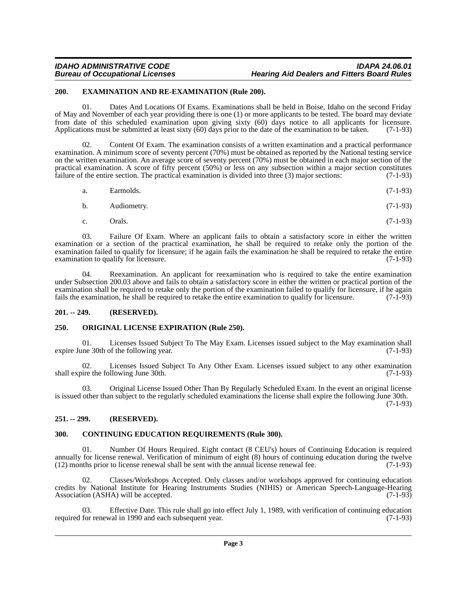# *IDAHO ADMINISTRATIVE CODE IDAPA 24.06.01* **Hearing Aid Dealers and Fitters Board Rules**

# <span id="page-2-0"></span>**200. EXAMINATION AND RE-EXAMINATION (Rule 200).**

01. Dates And Locations Of Exams. Examinations shall be held in Boise, Idaho on the second Friday of May and November of each year providing there is one (1) or more applicants to be tested. The board may deviate from date of this scheduled examination upon giving sixty (60) days notice to all applicants for licensure. Applications must be submitted at least sixty (60) days prior to the date of the examination to be taken. (7-1-93)

02. Content Of Exam. The examination consists of a written examination and a practical performance examination. A minimum score of seventy percent (70%) must be obtained as reported by the National testing service on the written examination. An average score of seventy percent (70%) must be obtained in each major section of the practical examination. A score of fifty percent (50%) or less on any subsection within a major section constitutes failure of the entire section. The practical examination is divided into three (3) major sections: (7-1-93)

| $(7-1-93)$ |
|------------|
| Earmolds.  |

$$
b. \qquad \text{Audiometry.} \tag{7-1-93}
$$

c. Orals.  $(7-1-93)$ 

03. Failure Of Exam. Where an applicant fails to obtain a satisfactory score in either the written examination or a section of the practical examination, he shall be required to retake only the portion of the examination failed to qualify for licensure; if he again fails the examination he shall be required to retake the entire examination to qualify for licensure. examination to qualify for licensure.

04. Reexamination. An applicant for reexamination who is required to take the entire examination under Subsection 200.03 above and fails to obtain a satisfactory score in either the written or practical portion of the examination shall be required to retake only the portion of the examination failed to qualify for licensure, if he again fails the examination, he shall be required to retake the entire examination to qualify for licensure fails the examination, he shall be required to retake the entire examination to qualify for licensure.

# <span id="page-2-1"></span>**201. -- 249. (RESERVED).**

# <span id="page-2-2"></span>**250. ORIGINAL LICENSE EXPIRATION (Rule 250).**

01. Licenses Issued Subject To The May Exam. Licenses issued subject to the May examination shall ine 30th of the following year. (7-1-93) expire June 30th of the following year.

02. Licenses Issued Subject To Any Other Exam. Licenses issued subject to any other examination ire the following June 30th. (7-1-93) shall expire the following June 30th.

03. Original License Issued Other Than By Regularly Scheduled Exam. In the event an original license is issued other than subject to the regularly scheduled examinations the license shall expire the following June 30th.

(7-1-93)

# <span id="page-2-3"></span>**251. -- 299. (RESERVED).**

# <span id="page-2-4"></span>**300. CONTINUING EDUCATION REQUIREMENTS (Rule 300).**

01. Number Of Hours Required. Eight contact (8 CEU's) hours of Continuing Education is required annually for license renewal. Verification of minimum of eight  $(8)$  hours of continuing education during the twelve  $(12)$  months prior to license renewal shall be sent with the annual license renewal fee.  $(7-1-93)$  $(12)$  months prior to license renewal shall be sent with the annual license renewal fee.

02. Classes/Workshops Accepted. Only classes and/or workshops approved for continuing education credits by National Institute for Hearing Instruments Studies (NIHIS) or American Speech-Language-Hearing Association (ASHA) will be accepted. (7-1-93)

Effective Date. This rule shall go into effect July 1, 1989, with verification of continuing education val in 1990 and each subsequent year. (7-1-93) required for renewal in 1990 and each subsequent year.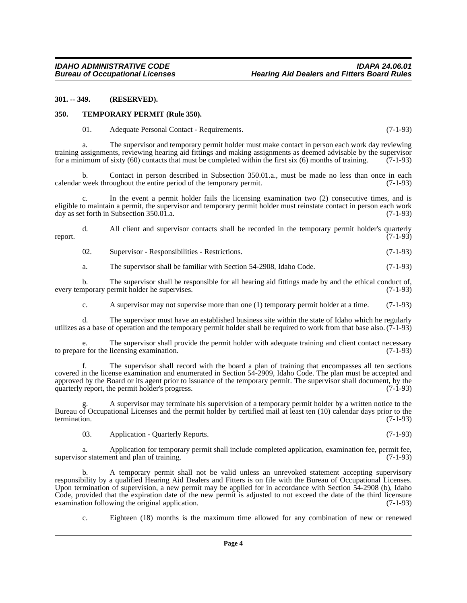#### <span id="page-3-0"></span>**301. -- 349. (RESERVED).**

#### <span id="page-3-1"></span>**350. TEMPORARY PERMIT (Rule 350).**

# 01. Adequate Personal Contact - Requirements. (7-1-93)

a. The supervisor and temporary permit holder must make contact in person each work day reviewing training assignments, reviewing hearing aid fittings and making assignments as deemed advisable by the supervisor for a minimum of sixty (60) contacts that must be completed within the first six (6) months of training.  $(7-1-93)$ 

Contact in person described in Subsection 350.01.a., must be made no less than once in each oughout the entire period of the temporary permit.  $(7-1-93)$ calendar week throughout the entire period of the temporary permit.

c. In the event a permit holder fails the licensing examination two (2) consecutive times, and is eligible to maintain a permit, the supervisor and temporary permit holder must reinstate contact in person each work day as set forth in Subsection 350.01.a. day as set forth in Subsection  $350.01$ .a.

d. All client and supervisor contacts shall be recorded in the temporary permit holder's quarterly (7-1-93) report. (7-1-93)

02. Supervisor - Responsibilities - Restrictions. (7-1-93)

a. The supervisor shall be familiar with Section 54-2908, Idaho Code. (7-1-93)

b. The supervisor shall be responsible for all hearing aid fittings made by and the ethical conduct of, nporary permit holder he supervises. (7-1-93) every temporary permit holder he supervises.

c. A supervisor may not supervise more than one (1) temporary permit holder at a time. (7-1-93)

d. The supervisor must have an established business site within the state of Idaho which he regularly utilizes as a base of operation and the temporary permit holder shall be required to work from that base also.  $(7-1-93)$ 

e. The supervisor shall provide the permit holder with adequate training and client contact necessary e for the licensing examination. (7-1-93) to prepare for the licensing examination.

f. The supervisor shall record with the board a plan of training that encompasses all ten sections covered in the license examination and enumerated in Section 54-2909, Idaho Code. The plan must be accepted and approved by the Board or its agent prior to issuance of the temporary permit. The supervisor shall document, by the quarterly report, the permit holder's progress. (7-1-93) quarterly report, the permit holder's progress.

g. A supervisor may terminate his supervision of a temporary permit holder by a written notice to the Bureau of Occupational Licenses and the permit holder by certified mail at least ten (10) calendar days prior to the termination. (7-1-93) termination. (7-1-93)

03. Application - Quarterly Reports. (7-1-93)

a. Application for temporary permit shall include completed application, examination fee, permit fee, supervisor statement and plan of training.

b. A temporary permit shall not be valid unless an unrevoked statement accepting supervisory responsibility by a qualified Hearing Aid Dealers and Fitters is on file with the Bureau of Occupational Licenses. Upon termination of supervision, a new permit may be applied for in accordance with Section 54-2908 (b), Idaho Code, provided that the expiration date of the new permit is adjusted to not exceed the date of the third licensure examination following the original application. (7-1-93) examination following the original application.

c. Eighteen (18) months is the maximum time allowed for any combination of new or renewed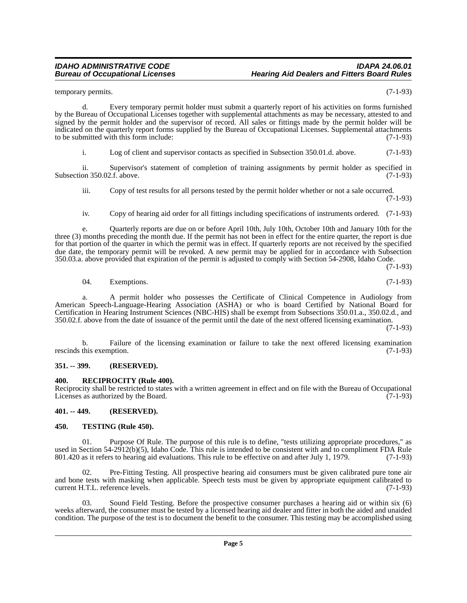temporary permits. (7-1-93)

d. Every temporary permit holder must submit a quarterly report of his activities on forms furnished by the Bureau of Occupational Licenses together with supplemental attachments as may be necessary, attested to and signed by the permit holder and the supervisor of record. All sales or fittings made by the permit holder will be indicated on the quarterly report forms supplied by the Bureau of Occupational Licenses. Supplemental attachments to be submitted with this form include: (7-1-93) to be submitted with this form include:

i. Log of client and supervisor contacts as specified in Subsection 350.01.d. above. (7-1-93)

ii. Supervisor's statement of completion of training assignments by permit holder as specified in on 350.02.f. above. (7-1-93) Subsection 350.02.f. above.

iii. Copy of test results for all persons tested by the permit holder whether or not a sale occurred.

(7-1-93)

iv. Copy of hearing aid order for all fittings including specifications of instruments ordered. (7-1-93)

e. Quarterly reports are due on or before April 10th, July 10th, October 10th and January 10th for the three (3) months preceding the month due. If the permit has not been in effect for the entire quarter, the report is due for that portion of the quarter in which the permit was in effect. If quarterly reports are not received by the specified due date, the temporary permit will be revoked. A new permit may be applied for in accordance with Subsection 350.03.a. above provided that expiration of the permit is adjusted to comply with Section 54-2908, Idaho Code.

(7-1-93)

 $04.$  Exemptions.  $(7-1-93)$ 

a. A permit holder who possesses the Certificate of Clinical Competence in Audiology from American Speech-Language-Hearing Association (ASHA) or who is board Certified by National Board for Certification in Hearing Instrument Sciences (NBC-HIS) shall be exempt from Subsections 350.01.a., 350.02.d., and 350.02.f. above from the date of issuance of the permit until the date of the next offered licensing examination. (7-1-93)

b. Failure of the licensing examination or failure to take the next offered licensing examination this exemption. (7-1-93) rescinds this exemption.

# <span id="page-4-0"></span>**351. -- 399. (RESERVED).**

# <span id="page-4-1"></span>**400. RECIPROCITY (Rule 400).**

Reciprocity shall be restricted to states with a written agreement in effect and on file with the Bureau of Occupational Licenses as authorized by the Board. Licenses as authorized by the Board.

# <span id="page-4-2"></span>**401. -- 449. (RESERVED).**

# <span id="page-4-3"></span>**450. TESTING (Rule 450).**

01. Purpose Of Rule. The purpose of this rule is to define, "tests utilizing appropriate procedures," as used in Section 54-2912(b)(5), Idaho Code. This rule is intended to be consistent with and to compliment FDA Rule 801.420 as it refers to hearing aid evaluations. This rule to be effective on and after July 1, 1979. (7-1-9 801.420 as it refers to hearing aid evaluations. This rule to be effective on and after July 1, 1979.

02. Pre-Fitting Testing. All prospective hearing aid consumers must be given calibrated pure tone air and bone tests with masking when applicable. Speech tests must be given by appropriate equipment calibrated to current H.T.L. reference levels. (7-1-93) current H.T.L. reference levels.

03. Sound Field Testing. Before the prospective consumer purchases a hearing aid or within six (6) weeks afterward, the consumer must be tested by a licensed hearing aid dealer and fitter in both the aided and unaided condition. The purpose of the test is to document the benefit to the consumer. This testing may be accomplished using